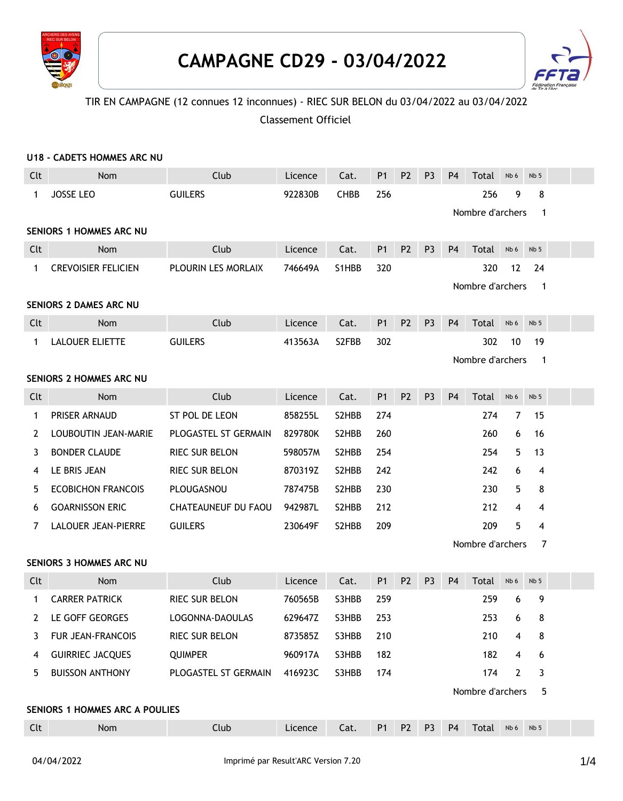



## TIR EN CAMPAGNE (12 connues 12 inconnues) - RIEC SUR BELON du 03/04/2022 au 03/04/2022

Classement Officiel

|                                                                    | U18 - CADETS HOMMES ARC NU   |                               |                    |                    |           |                |                                  |                |                  |                |                 |  |  |
|--------------------------------------------------------------------|------------------------------|-------------------------------|--------------------|--------------------|-----------|----------------|----------------------------------|----------------|------------------|----------------|-----------------|--|--|
| Clt                                                                | Nom                          | Club                          | Licence            | Cat.               | <b>P1</b> | P <sub>2</sub> | P <sub>3</sub>                   | P <sub>4</sub> | Total            | Nb 6           | Nb <sub>5</sub> |  |  |
| 1                                                                  | JOSSE LEO                    | <b>GUILERS</b>                | 922830B            | <b>CHBB</b>        | 256       |                |                                  |                | 256              | 9              | 8               |  |  |
|                                                                    |                              |                               |                    |                    |           |                | Nombre d'archers<br>$\mathbf{1}$ |                |                  |                |                 |  |  |
| <b>SENIORS 1 HOMMES ARC NU</b>                                     |                              |                               |                    |                    |           |                |                                  |                |                  |                |                 |  |  |
| Clt                                                                | Nom                          | Club                          | Licence            | Cat.               | <b>P1</b> | P <sub>2</sub> | P <sub>3</sub>                   | P <sub>4</sub> | Total            | Nb 6           | Nb <sub>5</sub> |  |  |
| 1                                                                  | <b>CREVOISIER FELICIEN</b>   | PLOURIN LES MORLAIX           | 746649A            | S1HBB              | 320       |                |                                  |                | 320              | 12             | 24              |  |  |
| Nombre d'archers<br>$\overline{1}$                                 |                              |                               |                    |                    |           |                |                                  |                |                  |                |                 |  |  |
| SENIORS 2 DAMES ARC NU                                             |                              |                               |                    |                    |           |                |                                  |                |                  |                |                 |  |  |
| Clt                                                                | Nom                          | Club                          | Licence            | Cat.               | <b>P1</b> | P <sub>2</sub> | P <sub>3</sub>                   | P <sub>4</sub> | <b>Total</b>     | Nb 6           | Nb <sub>5</sub> |  |  |
| 1                                                                  | <b>LALOUER ELIETTE</b>       | <b>GUILERS</b>                | 413563A            | S <sub>2</sub> FBB | 302       |                |                                  |                | 302              | 10             | 19              |  |  |
| Nombre d'archers<br>$\mathbf{1}$<br><b>SENIORS 2 HOMMES ARC NU</b> |                              |                               |                    |                    |           |                |                                  |                |                  |                |                 |  |  |
|                                                                    |                              |                               |                    |                    |           |                |                                  |                |                  |                | Nb <sub>5</sub> |  |  |
| Clt                                                                | Nom                          | Club                          | Licence            | Cat.               | <b>P1</b> | <b>P2</b>      | P <sub>3</sub>                   | P <sub>4</sub> | Total            | Nb 6           |                 |  |  |
| 1                                                                  | PRISER ARNAUD                | ST POL DE LEON                | 858255L            | S2HBB              | 274       |                |                                  |                | 274              | $\overline{7}$ | 15              |  |  |
| 2                                                                  | LOUBOUTIN JEAN-MARIE         | PLOGASTEL ST GERMAIN          | 829780K            | S2HBB              | 260       |                |                                  |                | 260              | 6              | 16              |  |  |
| 3                                                                  | <b>BONDER CLAUDE</b>         | RIEC SUR BELON                | 598057M            | S2HBB              | 254       |                |                                  |                | 254              | 5              | 13              |  |  |
| 4                                                                  | LE BRIS JEAN                 | RIEC SUR BELON                | 870319Z            | S2HBB              | 242       |                |                                  |                | 242              | 6              | 4               |  |  |
| 5                                                                  | <b>ECOBICHON FRANCOIS</b>    | PLOUGASNOU                    | 787475B            | S2HBB              | 230       |                |                                  |                | 230              | 5              | 8               |  |  |
| 6                                                                  | <b>GOARNISSON ERIC</b>       | CHATEAUNEUF DU FAOU           | 942987L            | S2HBB              | 212       |                |                                  |                | 212              | 4              | 4               |  |  |
| 7                                                                  | LALOUER JEAN-PIERRE          | <b>GUILERS</b>                | 230649F            | S2HBB              | 209       |                |                                  |                | 209              | 5              | 4               |  |  |
|                                                                    |                              |                               |                    |                    |           |                |                                  |                | Nombre d'archers |                | 7               |  |  |
|                                                                    | SENIORS 3 HOMMES ARC NU      |                               |                    |                    | <b>P1</b> | P <sub>2</sub> | P <sub>3</sub>                   | P <sub>4</sub> |                  | Nb 6           | Nb <sub>5</sub> |  |  |
| Clt<br>$\mathbf{1}$                                                | Nom<br><b>CARRER PATRICK</b> | Club<br><b>RIEC SUR BELON</b> | Licence<br>760565B | Cat.<br>S3HBB      | 259       |                |                                  |                | Total<br>259     | 6              | 9               |  |  |
|                                                                    |                              |                               |                    |                    |           |                |                                  |                |                  |                |                 |  |  |
|                                                                    | 2 LE GOFF GEORGES            | LOGONNA-DAOULAS               | 629647Z            | S3HBB              | 253       |                |                                  |                | 253              | 6              | 8               |  |  |
| 3                                                                  | <b>FUR JEAN-FRANCOIS</b>     | RIEC SUR BELON                | 873585Z            | S3HBB              | 210       |                |                                  |                | 210              | 4              | 8               |  |  |
| 4                                                                  | <b>GUIRRIEC JACQUES</b>      | <b>QUIMPER</b>                | 960917A            | S3HBB              | 182       |                |                                  |                | 182              | 4              | 6               |  |  |
| 5                                                                  | <b>BUISSON ANTHONY</b>       | PLOGASTEL ST GERMAIN          | 416923C            | S3HBB              | 174       |                |                                  |                | 174              | 2              | 3               |  |  |
| Nombre d'archers<br>5<br><b>SENIORS 1 HOMMES ARC A POULIES</b>     |                              |                               |                    |                    |           |                |                                  |                |                  |                |                 |  |  |
| Clt                                                                | Nom                          | Club                          | Licence            | Cat.               | <b>P1</b> | P <sub>2</sub> | P <sub>3</sub>                   | P <sub>4</sub> | Total Nb6        |                | Nb 5            |  |  |
|                                                                    |                              |                               |                    |                    |           |                |                                  |                |                  |                |                 |  |  |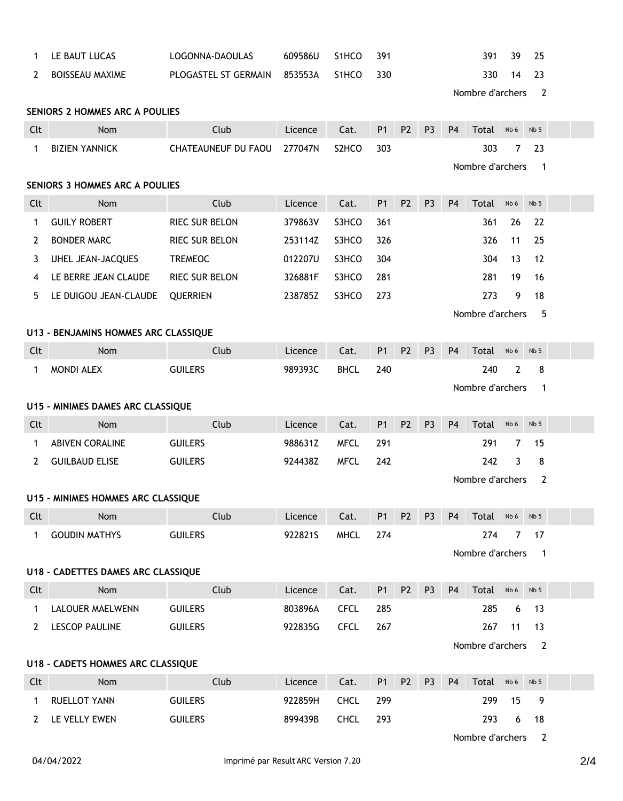| 1                                     | LE BAUT LUCAS                             | LOGONNA-DAOULAS            | 609586U       | S1HCO              | 391            |                |                |                                    | 391              | 39             | 25              |  |  |
|---------------------------------------|-------------------------------------------|----------------------------|---------------|--------------------|----------------|----------------|----------------|------------------------------------|------------------|----------------|-----------------|--|--|
| 2                                     | <b>BOISSEAU MAXIME</b>                    | PLOGASTEL ST GERMAIN       | 853553A       | S1HCO              | 330            |                |                |                                    | 330              | 14             | 23              |  |  |
|                                       |                                           |                            |               |                    |                |                |                |                                    | Nombre d'archers |                | $\overline{2}$  |  |  |
|                                       | SENIORS 2 HOMMES ARC A POULIES            |                            |               |                    |                |                |                |                                    |                  |                |                 |  |  |
| Clt                                   | Nom                                       | Club                       | Licence       | Cat.               | P1             | P <sub>2</sub> | P <sub>3</sub> | P <sub>4</sub>                     | Total            | Nb 6           | Nb <sub>5</sub> |  |  |
| 1                                     | <b>BIZIEN YANNICK</b>                     | <b>CHATEAUNEUF DU FAOU</b> | 277047N       | S <sub>2</sub> HCO | 303            |                |                |                                    | 303              | $\overline{7}$ | 23              |  |  |
|                                       | Nombre d'archers                          |                            |               |                    |                |                |                |                                    | -1               |                |                 |  |  |
| <b>SENIORS 3 HOMMES ARC A POULIES</b> |                                           |                            |               |                    |                |                |                |                                    |                  |                |                 |  |  |
| Clt                                   | Nom                                       | Club                       | Licence       | Cat.               | P1             | P <sub>2</sub> | P <sub>3</sub> | P <sub>4</sub>                     | Total            | Nb 6           | Nb <sub>5</sub> |  |  |
| 1                                     | <b>GUILY ROBERT</b>                       | RIEC SUR BELON             | 379863V       | S3HCO              | 361            |                |                |                                    | 361              | 26             | 22              |  |  |
| 2                                     | <b>BONDER MARC</b>                        | RIEC SUR BELON             | 253114Z       | S3HCO              | 326            |                |                |                                    | 326              | 11             | 25              |  |  |
| 3                                     | UHEL JEAN-JACQUES                         | <b>TREMEOC</b>             | 012207U       | S3HCO              | 304            |                |                |                                    | 304              | 13             | 12              |  |  |
| 4                                     | LE BERRE JEAN CLAUDE                      | RIEC SUR BELON             | 326881F       | S3HCO              | 281            |                |                |                                    | 281              | 19             | 16              |  |  |
| 5                                     | LE DUIGOU JEAN-CLAUDE                     | <b>QUERRIEN</b>            | 238785Z       | S3HCO              | 273            |                |                |                                    | 273              | 9              | 18              |  |  |
|                                       |                                           |                            |               |                    |                |                |                |                                    | Nombre d'archers |                | 5               |  |  |
| U13 - BENJAMINS HOMMES ARC CLASSIQUE  |                                           |                            |               |                    |                |                |                |                                    |                  |                |                 |  |  |
| Clt                                   | <b>Nom</b>                                | Club                       | Licence       | Cat.               | <b>P1</b>      | P <sub>2</sub> | P <sub>3</sub> | P <sub>4</sub>                     | Total            | Nb 6           | Nb <sub>5</sub> |  |  |
| 1                                     | MONDI ALEX                                | <b>GUILERS</b>             | 989393C       | <b>BHCL</b>        | 240            |                |                |                                    | 240              | $\overline{2}$ | 8               |  |  |
|                                       |                                           |                            |               |                    |                |                |                |                                    | Nombre d'archers |                | $\mathbf 1$     |  |  |
|                                       | U15 - MINIMES DAMES ARC CLASSIQUE         |                            |               |                    |                |                |                |                                    |                  |                |                 |  |  |
| Clt                                   | Nom                                       | Club                       | Licence       | Cat.               | <b>P1</b>      | P <sub>2</sub> | P <sub>3</sub> | P <sub>4</sub>                     | Total            | Nb 6           | Nb <sub>5</sub> |  |  |
| 1                                     | <b>ABIVEN CORALINE</b>                    | <b>GUILERS</b>             | 988631Z       | <b>MFCL</b>        | 291            |                |                |                                    | 291              | $\overline{7}$ | 15              |  |  |
| 2                                     | <b>GUILBAUD ELISE</b>                     | <b>GUILERS</b>             | 924438Z       | <b>MFCL</b>        | 242            |                |                |                                    | 242              | 3              | 8               |  |  |
|                                       |                                           |                            |               |                    |                |                |                | Nombre d'archers<br>$\overline{2}$ |                  |                |                 |  |  |
|                                       | U15 - MINIMES HOMMES ARC CLASSIQUE        |                            |               |                    |                |                |                |                                    |                  |                |                 |  |  |
| Clt                                   | Nom                                       | Club                       | <b>Exerce</b> | Cat.               | P1 P2 P3 P4    |                |                |                                    | Total Nb6        |                | Nb <sub>5</sub> |  |  |
| $\mathbf{1}$                          | <b>GOUDIN MATHYS</b>                      | <b>GUILERS</b>             | 922821S       | <b>MHCL</b>        | 274            |                |                |                                    | 274              | 7              | 17              |  |  |
|                                       |                                           |                            |               |                    |                |                |                |                                    | Nombre d'archers |                | $\overline{1}$  |  |  |
|                                       | <b>U18 - CADETTES DAMES ARC CLASSIQUE</b> |                            |               |                    |                |                |                |                                    |                  |                |                 |  |  |
| Clt                                   | Nom                                       | Club                       | Licence       | Cat.               | P <sub>1</sub> | P <sub>2</sub> | P <sub>3</sub> | P <sub>4</sub>                     | Total Nb6        |                | Nb <sub>5</sub> |  |  |
| $\mathbf{1}$                          | <b>LALOUER MAELWENN</b>                   | <b>GUILERS</b>             | 803896A       | <b>CFCL</b>        | 285            |                |                |                                    | 285              | 6              | 13              |  |  |
| 2                                     | <b>LESCOP PAULINE</b>                     | <b>GUILERS</b>             | 922835G       | <b>CFCL</b>        | 267            |                |                |                                    | 267              | 11             | 13              |  |  |
|                                       |                                           |                            |               |                    |                |                |                |                                    | Nombre d'archers |                | 2               |  |  |
|                                       | U18 - CADETS HOMMES ARC CLASSIQUE         |                            |               |                    |                |                |                |                                    |                  |                |                 |  |  |
| Clt                                   | Nom                                       | Club                       | Licence       | Cat.               | P1             | P <sub>2</sub> | P <sub>3</sub> | P <sub>4</sub>                     | Total            | Nb 6           | Nb 5            |  |  |
| $\mathbf{1}$                          | <b>RUELLOT YANN</b>                       | <b>GUILERS</b>             | 922859H       | <b>CHCL</b>        | 299            |                |                |                                    | 299              | 15             | 9               |  |  |
| 2                                     | LE VELLY EWEN                             | <b>GUILERS</b>             | 899439B       | <b>CHCL</b>        | 293            |                |                |                                    | 293              | 6              | 18              |  |  |

Nombre d'archers 2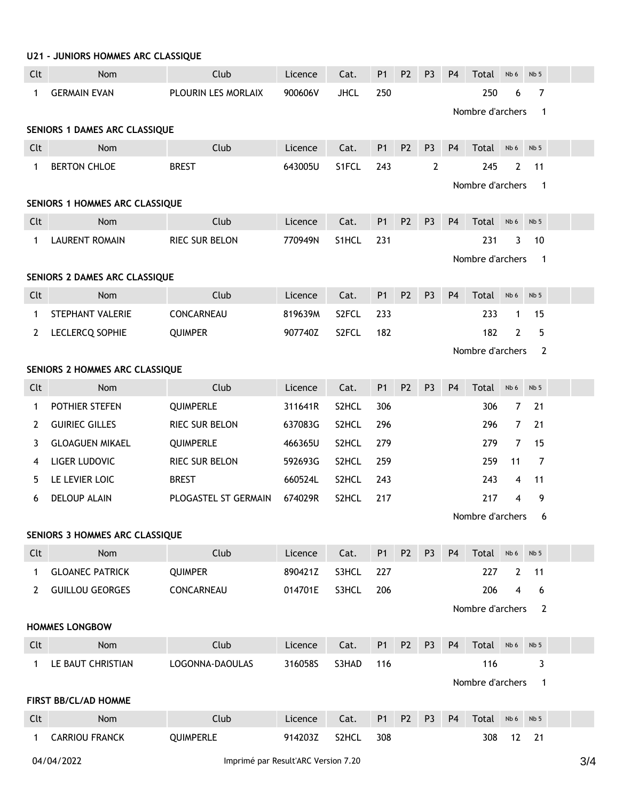|                                | U21 - JUNIORS HOMMES ARC CLASSIQUE                |                       |         |             |                |                |                |                                  |                  |                |                 |     |  |  |  |
|--------------------------------|---------------------------------------------------|-----------------------|---------|-------------|----------------|----------------|----------------|----------------------------------|------------------|----------------|-----------------|-----|--|--|--|
| Clt                            | <b>Nom</b>                                        | Club                  | Licence | Cat.        | P <sub>1</sub> | P <sub>2</sub> | P <sub>3</sub> | P <sub>4</sub>                   | Total            | Nb 6           | Nb <sub>5</sub> |     |  |  |  |
| 1                              | <b>GERMAIN EVAN</b>                               | PLOURIN LES MORLAIX   | 900606V | <b>JHCL</b> | 250            |                |                |                                  | 250              | 6              | $\overline{7}$  |     |  |  |  |
|                                |                                                   |                       |         |             |                |                |                | Nombre d'archers<br>$\mathbf{1}$ |                  |                |                 |     |  |  |  |
|                                | SENIORS 1 DAMES ARC CLASSIQUE                     |                       |         |             |                |                |                |                                  |                  |                |                 |     |  |  |  |
| Clt                            | Nom                                               | Club                  | Licence | Cat.        | P <sub>1</sub> | P <sub>2</sub> | P <sub>3</sub> | P <sub>4</sub>                   | Total            | Nb 6           | Nb <sub>5</sub> |     |  |  |  |
| 1                              | <b>BERTON CHLOE</b>                               | <b>BREST</b>          | 643005U | S1FCL       | 243            |                | 2              |                                  | 245              | 2              | 11              |     |  |  |  |
|                                |                                                   |                       |         |             |                |                |                |                                  | Nombre d'archers |                | $\overline{1}$  |     |  |  |  |
| SENIORS 1 HOMMES ARC CLASSIQUE |                                                   |                       |         |             |                |                |                |                                  |                  |                |                 |     |  |  |  |
| Clt                            | Nom                                               | Club                  | Licence | Cat.        | P1             | P <sub>2</sub> | P <sub>3</sub> | P <sub>4</sub>                   | Total            | Nb 6           | Nb <sub>5</sub> |     |  |  |  |
| 1                              | <b>LAURENT ROMAIN</b>                             | RIEC SUR BELON        | 770949N | S1HCL       | 231            |                |                |                                  | 231              | 3              | 10              |     |  |  |  |
|                                |                                                   |                       |         |             |                |                |                |                                  | Nombre d'archers |                | $\overline{1}$  |     |  |  |  |
|                                | SENIORS 2 DAMES ARC CLASSIQUE                     |                       |         |             |                |                |                |                                  |                  |                |                 |     |  |  |  |
| Clt                            | Nom                                               | Club                  | Licence | Cat.        | P <sub>1</sub> | P <sub>2</sub> | P <sub>3</sub> | P <sub>4</sub>                   | Total            | Nb 6           | Nb <sub>5</sub> |     |  |  |  |
| 1                              | STEPHANT VALERIE                                  | CONCARNEAU            | 819639M | S2FCL       | 233            |                |                |                                  | 233              | $\mathbf{1}$   | 15              |     |  |  |  |
| 2                              | LECLERCQ SOPHIE                                   | <b>QUIMPER</b>        | 907740Z | S2FCL       | 182            |                |                |                                  | 182              | $\overline{2}$ | 5               |     |  |  |  |
|                                |                                                   |                       |         |             |                |                |                |                                  | Nombre d'archers |                | $\overline{2}$  |     |  |  |  |
|                                | SENIORS 2 HOMMES ARC CLASSIQUE                    |                       |         |             |                |                |                |                                  |                  |                |                 |     |  |  |  |
| Clt                            | <b>Nom</b>                                        | Club                  | Licence | Cat.        | P <sub>1</sub> | P <sub>2</sub> | P <sub>3</sub> | P <sub>4</sub>                   | Total            | Nb 6           | Nb <sub>5</sub> |     |  |  |  |
| 1                              | POTHIER STEFEN                                    | QUIMPERLE             | 311641R | S2HCL       | 306            |                |                |                                  | 306              | $\overline{7}$ | 21              |     |  |  |  |
| 2                              | <b>GUIRIEC GILLES</b>                             | RIEC SUR BELON        | 637083G | S2HCL       | 296            |                |                |                                  | 296              | $\overline{7}$ | 21              |     |  |  |  |
| 3                              | <b>GLOAGUEN MIKAEL</b>                            | QUIMPERLE             | 466365U | S2HCL       | 279            |                |                |                                  | 279              | $\overline{7}$ | 15              |     |  |  |  |
| 4                              | LIGER LUDOVIC                                     | RIEC SUR BELON        | 592693G | S2HCL       | 259            |                |                |                                  | 259              | 11             | $\overline{7}$  |     |  |  |  |
| 5                              | LE LEVIER LOIC                                    | <b>BREST</b>          | 660524L | S2HCL       | 243            |                |                |                                  | 243              | 4              | 11              |     |  |  |  |
| 6                              | <b>DELOUP ALAIN</b>                               | PLOGASTEL ST GERMAIN  | 674029R | S2HCL       | 217            |                |                |                                  | 217              | 4              | 9               |     |  |  |  |
|                                |                                                   | Nombre d'archers<br>6 |         |             |                |                |                |                                  |                  |                |                 |     |  |  |  |
|                                | SENIORS 3 HOMMES ARC CLASSIQUE                    |                       |         |             |                |                |                |                                  |                  |                |                 |     |  |  |  |
| Clt                            | Nom                                               | Club                  | Licence | Cat.        | P <sub>1</sub> | P <sub>2</sub> | P <sub>3</sub> | <b>P4</b>                        | Total            | Nb 6           | Nb <sub>5</sub> |     |  |  |  |
| 1                              | <b>GLOANEC PATRICK</b>                            | <b>QUIMPER</b>        | 890421Z | S3HCL       | 227            |                |                |                                  | 227              | $\mathbf{2}$   | 11              |     |  |  |  |
| 2                              | <b>GUILLOU GEORGES</b>                            | CONCARNEAU            | 014701E | S3HCL       | 206            |                |                |                                  | 206              | 4              | 6               |     |  |  |  |
|                                |                                                   |                       |         |             |                |                |                |                                  | Nombre d'archers |                | $\overline{2}$  |     |  |  |  |
|                                | <b>HOMMES LONGBOW</b>                             |                       |         |             |                |                |                |                                  |                  |                |                 |     |  |  |  |
| Clt                            | <b>Nom</b>                                        | Club                  | Licence | Cat.        | P <sub>1</sub> | P <sub>2</sub> | P <sub>3</sub> | P <sub>4</sub>                   | Total            | Nb 6           | Nb <sub>5</sub> |     |  |  |  |
| 1                              | LE BAUT CHRISTIAN                                 | LOGONNA-DAOULAS       | 316058S | S3HAD       | 116            |                |                |                                  | 116              |                | 3               |     |  |  |  |
|                                |                                                   |                       |         |             |                |                |                |                                  | Nombre d'archers |                | $\mathbf 1$     |     |  |  |  |
|                                | <b>FIRST BB/CL/AD HOMME</b>                       |                       |         |             |                |                |                |                                  |                  |                |                 |     |  |  |  |
| Clt                            | Nom                                               | Club                  | Licence | Cat.        | P <sub>1</sub> | P <sub>2</sub> | P <sub>3</sub> | P <sub>4</sub>                   | Total            | Nb 6           | Nb <sub>5</sub> |     |  |  |  |
| 1                              | <b>CARRIOU FRANCK</b>                             | QUIMPERLE             | 914203Z | S2HCL       | 308            |                |                |                                  | 308              | 12             | 21              |     |  |  |  |
|                                | 04/04/2022<br>Imprimé par Result'ARC Version 7.20 |                       |         |             |                |                |                |                                  |                  |                |                 | 3/4 |  |  |  |